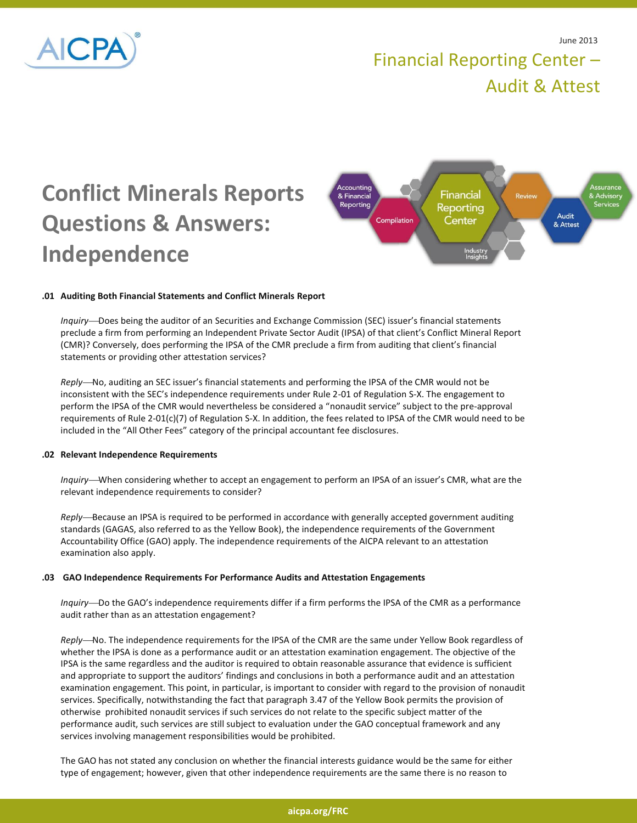

# Financial Reporting Center – Audit & Attest

# **Conflict Minerals Reports Questions & Answers: Independence**



# **.01 Auditing Both Financial Statements and Conflict Minerals Report**

*Inquiry*—Does being the auditor of an Securities and Exchange Commission (SEC) issuer's financial statements preclude a firm from performing an Independent Private Sector Audit (IPSA) of that client's Conflict Mineral Report (CMR)? Conversely, does performing the IPSA of the CMR preclude a firm from auditing that client's financial statements or providing other attestation services?

*Reply*—No, auditing an SEC issuer's financial statements and performing the IPSA of the CMR would not be inconsistent with the SEC's independence requirements under Rule 2-01 of Regulation S-X. The engagement to perform the IPSA of the CMR would nevertheless be considered a "nonaudit service" subject to the pre-approval requirements of Rule 2-01(c)(7) of Regulation S-X. In addition, the fees related to IPSA of the CMR would need to be included in the "All Other Fees" category of the principal accountant fee disclosures.

#### **.02 Relevant Independence Requirements**

*Inquiry*—When considering whether to accept an engagement to perform an IPSA of an issuer's CMR, what are the relevant independence requirements to consider?

*Reply*—Because an IPSA is required to be performed in accordance with generally accepted government auditing standards (GAGAS, also referred to as the Yellow Book), the independence requirements of the Government Accountability Office (GAO) apply. The independence requirements of the AICPA relevant to an attestation examination also apply.

#### **.03 GAO Independence Requirements For Performance Audits and Attestation Engagements**

*Inquiry*—Do the GAO's independence requirements differ if a firm performs the IPSA of the CMR as a performance audit rather than as an attestation engagement?

*Reply*—No. The independence requirements for the IPSA of the CMR are the same under Yellow Book regardless of whether the IPSA is done as a performance audit or an attestation examination engagement. The objective of the IPSA is the same regardless and the auditor is required to obtain reasonable assurance that evidence is sufficient and appropriate to support the auditors' findings and conclusions in both a performance audit and an attestation examination engagement. This point, in particular, is important to consider with regard to the provision of nonaudit services. Specifically, notwithstanding the fact that paragraph 3.47 of the Yellow Book permits the provision of otherwise prohibited nonaudit services if such services do not relate to the specific subject matter of the performance audit, such services are still subject to evaluation under the GAO conceptual framework and any services involving management responsibilities would be prohibited.

The GAO has not stated any conclusion on whether the financial interests guidance would be the same for either type of engagement; however, given that other independence requirements are the same there is no reason to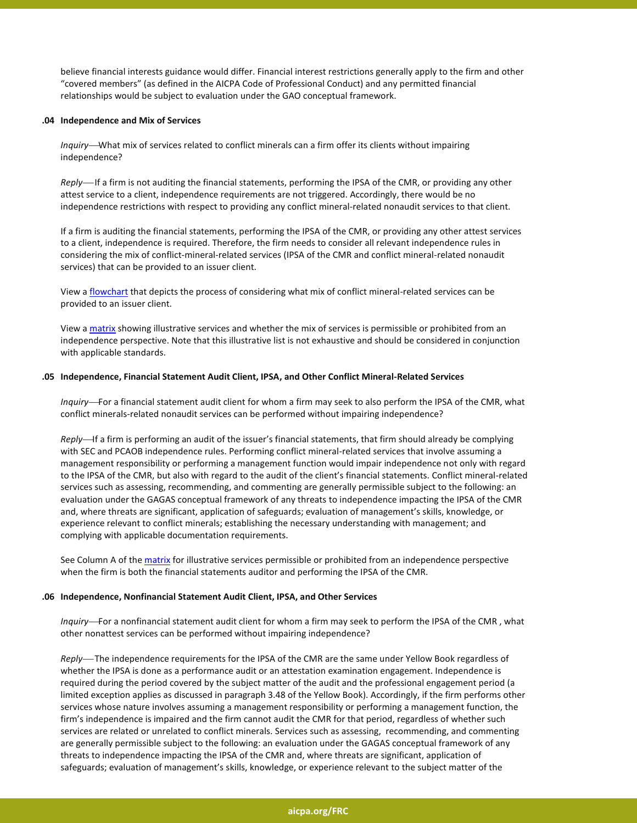believe financial interests guidance would differ. Financial interest restrictions generally apply to the firm and other "covered members" (as defined in the AICPA Code of Professional Conduct) and any permitted financial relationships would be subject to evaluation under the GAO conceptual framework.

#### **.04 Independence and Mix of Services**

*Inquiry*—What mix of services related to conflict minerals can a firm offer its clients without impairing independence?

*Reply*—If a firm is not auditing the financial statements, performing the IPSA of the CMR, or providing any other attest service to a client, independence requirements are not triggered. Accordingly, there would be no independence restrictions with respect to providing any conflict mineral-related nonaudit services to that client.

If a firm is auditing the financial statements, performing the IPSA of the CMR, or providing any other attest services to a client, independence is required. Therefore, the firm needs to consider all relevant independence rules in considering the mix of conflict-mineral-related services (IPSA of the CMR and conflict mineral-related nonaudit services) that can be provided to an issuer client.

View a [flowchart](http://www.aicpa.org/InterestAreas/FRC/DownloadableDocuments/Conflict_Minerals/FRC_Conflict_Minerals_IPSA_Independence_Flowchart.pdf) that depicts the process of considering what mix of conflict mineral-related services can be provided to an issuer client.

View a [matrix](http://www.aicpa.org/InterestAreas/FRC/DownloadableDocuments/Conflict_Minerals/FRC_Conflict_Minerals_Matrix_Independence.pdf) showing illustrative services and whether the mix of services is permissible or prohibited from an independence perspective. Note that this illustrative list is not exhaustive and should be considered in conjunction with applicable standards.

# **.05 Independence, Financial Statement Audit Client, IPSA, and Other Conflict Mineral-Related Services**

*Inquiry*—For a financial statement audit client for whom a firm may seek to also perform the IPSA of the CMR, what conflict minerals-related nonaudit services can be performed without impairing independence?

*Reply*—If a firm is performing an audit of the issuer's financial statements, that firm should already be complying with SEC and PCAOB independence rules. Performing conflict mineral-related services that involve assuming a management responsibility or performing a management function would impair independence not only with regard to the IPSA of the CMR, but also with regard to the audit of the client's financial statements. Conflict mineral-related services such as assessing, recommending, and commenting are generally permissible subject to the following: an evaluation under the GAGAS conceptual framework of any threats to independence impacting the IPSA of the CMR and, where threats are significant, application of safeguards; evaluation of management's skills, knowledge, or experience relevant to conflict minerals; establishing the necessary understanding with management; and complying with applicable documentation requirements.

See Column A of the [matrix](http://www.aicpa.org/InterestAreas/FRC/DownloadableDocuments/Conflict_Minerals/FRC_Conflict_Minerals_Matrix_Independence.pdf) for illustrative services permissible or prohibited from an independence perspective when the firm is both the financial statements auditor and performing the IPSA of the CMR.

# **.06 Independence, Nonfinancial Statement Audit Client, IPSA, and Other Services**

*Inquiry*—For a nonfinancial statement audit client for whom a firm may seek to perform the IPSA of the CMR, what other nonattest services can be performed without impairing independence?

*Reply* The independence requirements for the IPSA of the CMR are the same under Yellow Book regardless of whether the IPSA is done as a performance audit or an attestation examination engagement. Independence is required during the period covered by the subject matter of the audit and the professional engagement period (a limited exception applies as discussed in paragraph 3.48 of the Yellow Book). Accordingly, if the firm performs other services whose nature involves assuming a management responsibility or performing a management function, the firm's independence is impaired and the firm cannot audit the CMR for that period, regardless of whether such services are related or unrelated to conflict minerals. Services such as assessing, recommending, and commenting are generally permissible subject to the following: an evaluation under the GAGAS conceptual framework of any threats to independence impacting the IPSA of the CMR and, where threats are significant, application of safeguards; evaluation of management's skills, knowledge, or experience relevant to the subject matter of the